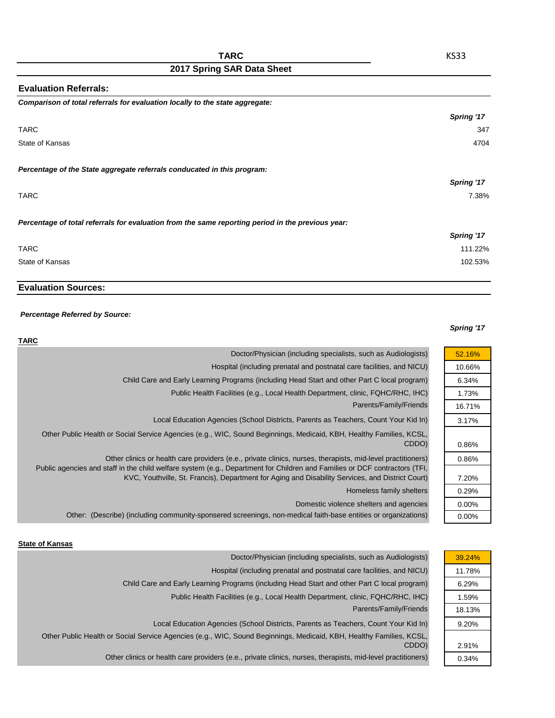| <b>Evaluation Referrals:</b>                                                                      |            |
|---------------------------------------------------------------------------------------------------|------------|
| Comparison of total referrals for evaluation locally to the state aggregate:                      |            |
|                                                                                                   | Spring '17 |
| <b>TARC</b>                                                                                       | 347        |
| State of Kansas                                                                                   | 4704       |
| Percentage of the State aggregate referrals conducated in this program:                           |            |
|                                                                                                   | Spring '17 |
| <b>TARC</b>                                                                                       | 7.38%      |
| Percentage of total referrals for evaluation from the same reporting period in the previous year: |            |
|                                                                                                   | Spring '17 |
| <b>TARC</b>                                                                                       | 111.22%    |
| State of Kansas                                                                                   | 102.53%    |

## **Evaluation Sources:**

## *Percentage Referred by Source:*

## *Spring '17*

| <b>TARC</b>                                                                                                                                                                                                                               |          |
|-------------------------------------------------------------------------------------------------------------------------------------------------------------------------------------------------------------------------------------------|----------|
| Doctor/Physician (including specialists, such as Audiologists)                                                                                                                                                                            | 52.16%   |
| Hospital (including prenatal and postnatal care facilities, and NICU)                                                                                                                                                                     | 10.66%   |
| Child Care and Early Learning Programs (including Head Start and other Part C local program)                                                                                                                                              | 6.34%    |
| Public Health Facilities (e.g., Local Health Department, clinic, FQHC/RHC, IHC)                                                                                                                                                           | 1.73%    |
| Parents/Family/Friends                                                                                                                                                                                                                    | 16.71%   |
| Local Education Agencies (School Districts, Parents as Teachers, Count Your Kid In)                                                                                                                                                       | 3.17%    |
| Other Public Health or Social Service Agencies (e.g., WIC, Sound Beginnings, Medicaid, KBH, Healthy Families, KCSL,<br>CDDO)                                                                                                              | 0.86%    |
| Other clinics or health care providers (e.e., private clinics, nurses, therapists, mid-level practitioners)<br>Public agencies and staff in the child welfare system (e.g., Department for Children and Families or DCF contractors (TFI, | 0.86%    |
| KVC, Youthville, St. Francis), Department for Aging and Disability Services, and District Court)                                                                                                                                          | 7.20%    |
| Homeless family shelters                                                                                                                                                                                                                  | 0.29%    |
| Domestic violence shelters and agencies                                                                                                                                                                                                   | $0.00\%$ |
| Other: (Describe) (including community-sponsered screenings, non-medical faith-base entities or organizations)                                                                                                                            | $0.00\%$ |

## **State of Kansas**

|                                                                                                                              | 39.24%                                                                                                                                                                                                                                                                                                                                                                                                                                                                                                                                                     |
|------------------------------------------------------------------------------------------------------------------------------|------------------------------------------------------------------------------------------------------------------------------------------------------------------------------------------------------------------------------------------------------------------------------------------------------------------------------------------------------------------------------------------------------------------------------------------------------------------------------------------------------------------------------------------------------------|
|                                                                                                                              | 11.78%                                                                                                                                                                                                                                                                                                                                                                                                                                                                                                                                                     |
|                                                                                                                              | 6.29%                                                                                                                                                                                                                                                                                                                                                                                                                                                                                                                                                      |
|                                                                                                                              | 1.59%                                                                                                                                                                                                                                                                                                                                                                                                                                                                                                                                                      |
|                                                                                                                              | 18.13%                                                                                                                                                                                                                                                                                                                                                                                                                                                                                                                                                     |
|                                                                                                                              | 9.20%                                                                                                                                                                                                                                                                                                                                                                                                                                                                                                                                                      |
|                                                                                                                              |                                                                                                                                                                                                                                                                                                                                                                                                                                                                                                                                                            |
|                                                                                                                              | 2.91%                                                                                                                                                                                                                                                                                                                                                                                                                                                                                                                                                      |
|                                                                                                                              | 0.34%                                                                                                                                                                                                                                                                                                                                                                                                                                                                                                                                                      |
| Other Public Health or Social Service Agencies (e.g., WIC, Sound Beginnings, Medicaid, KBH, Healthy Families, KCSL,<br>CDDO) | Doctor/Physician (including specialists, such as Audiologists)<br>Hospital (including prenatal and postnatal care facilities, and NICU)<br>Child Care and Early Learning Programs (including Head Start and other Part C local program)<br>Public Health Facilities (e.g., Local Health Department, clinic, FQHC/RHC, IHC)<br>Parents/Family/Friends<br>Local Education Agencies (School Districts, Parents as Teachers, Count Your Kid In)<br>Other clinics or health care providers (e.e., private clinics, nurses, therapists, mid-level practitioners) |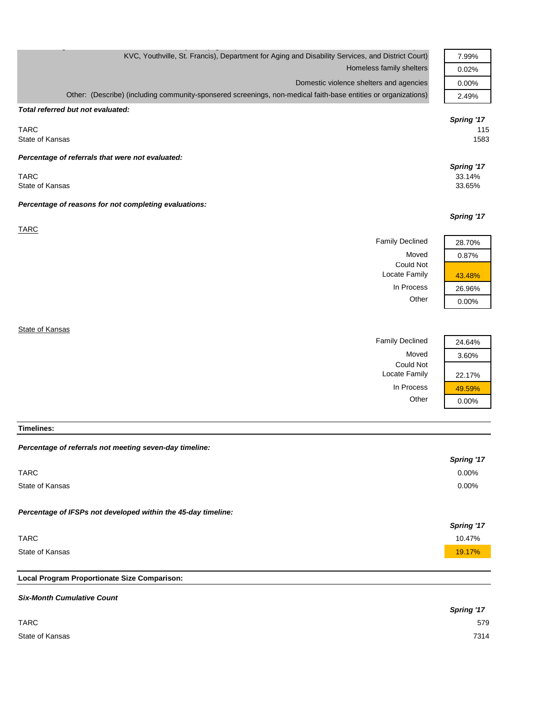| KVC, Youthville, St. Francis), Department for Aging and Disability Services, and District Court)               | 7.99%                |
|----------------------------------------------------------------------------------------------------------------|----------------------|
| Homeless family shelters                                                                                       | 0.02%                |
| Domestic violence shelters and agencies                                                                        | 0.00%                |
| Other: (Describe) (including community-sponsered screenings, non-medical faith-base entities or organizations) | 2.49%                |
| Total referred but not evaluated:                                                                              |                      |
|                                                                                                                | Spring '17           |
| <b>TARC</b><br>State of Kansas                                                                                 | 115<br>1583          |
|                                                                                                                |                      |
| Percentage of referrals that were not evaluated:                                                               |                      |
| <b>TARC</b>                                                                                                    | Spring '17<br>33.14% |
| State of Kansas                                                                                                | 33.65%               |
|                                                                                                                |                      |
| Percentage of reasons for not completing evaluations:                                                          |                      |
|                                                                                                                | Spring '17           |
| <b>TARC</b>                                                                                                    |                      |
| <b>Family Declined</b>                                                                                         | 28.70%               |
| Moved<br><b>Could Not</b>                                                                                      | 0.87%                |
| Locate Family                                                                                                  | 43.48%               |
| In Process                                                                                                     | 26.96%               |
| Other                                                                                                          | 0.00%                |
|                                                                                                                |                      |
| State of Kansas                                                                                                |                      |
| <b>Family Declined</b>                                                                                         | 24.64%               |
| Moved                                                                                                          | 3.60%                |
| <b>Could Not</b>                                                                                               |                      |
| Locate Family                                                                                                  | 22.17%               |

**Timelines:**

| Percentage of referrals not meeting seven-day timeline:       |            |
|---------------------------------------------------------------|------------|
|                                                               | Spring '17 |
| <b>TARC</b>                                                   | 0.00%      |
| State of Kansas                                               | 0.00%      |
| Percentage of IFSPs not developed within the 45-day timeline: |            |
|                                                               |            |
|                                                               | Spring '17 |
| <b>TARC</b>                                                   | 10.47%     |
| State of Kansas                                               | 19.17%     |
|                                                               |            |
| Local Program Proportionate Size Comparison:                  |            |
| <b>Six-Month Cumulative Count</b>                             |            |

In Process 29.59% Other 0.00%

|                 | <b>Spring '17</b> |
|-----------------|-------------------|
| <b>TARC</b>     | 579               |
| State of Kansas | 7314              |